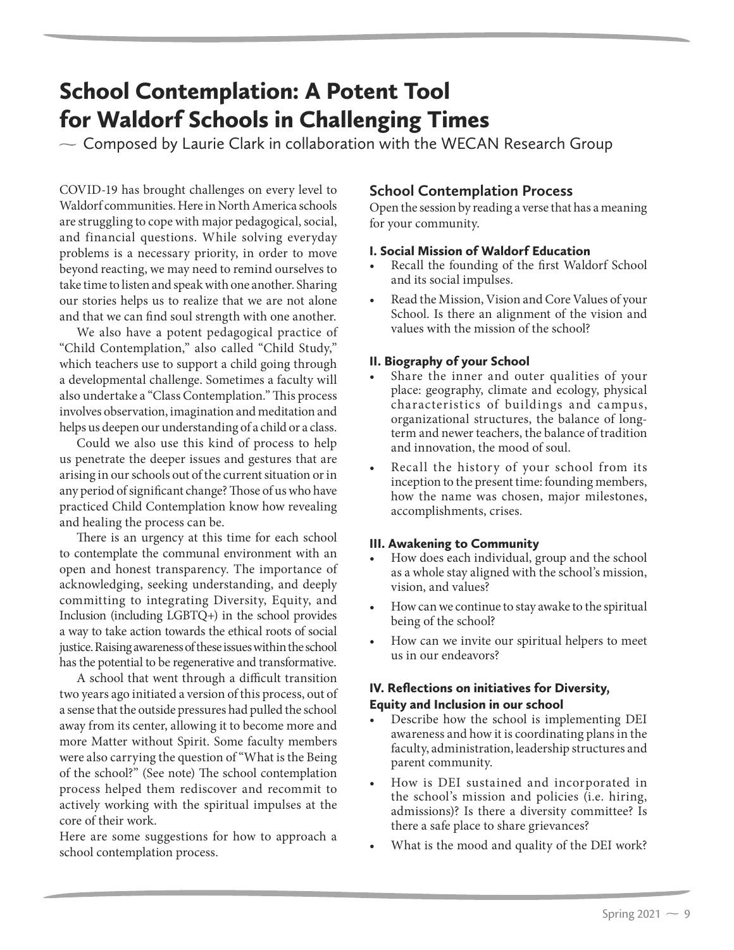# School Contemplation: A Potent Tool for Waldorf Schools in Challenging Times

 $\sim$  Composed by Laurie Clark in collaboration with the WECAN Research Group

COVID-19 has brought challenges on every level to Waldorf communities. Here in North America schools are struggling to cope with major pedagogical, social, and financial questions. While solving everyday problems is a necessary priority, in order to move beyond reacting, we may need to remind ourselves to take time to listen and speak with one another. Sharing our stories helps us to realize that we are not alone and that we can find soul strength with one another.

We also have a potent pedagogical practice of "Child Contemplation," also called "Child Study," which teachers use to support a child going through a developmental challenge. Sometimes a faculty will also undertake a "Class Contemplation." This process involves observation, imagination and meditation and helps us deepen our understanding of a child or a class.

Could we also use this kind of process to help us penetrate the deeper issues and gestures that are arising in our schools out of the current situation or in any period of significant change? Those of us who have practiced Child Contemplation know how revealing and healing the process can be.

There is an urgency at this time for each school to contemplate the communal environment with an open and honest transparency. The importance of acknowledging, seeking understanding, and deeply committing to integrating Diversity, Equity, and Inclusion (including LGBTQ+) in the school provides a way to take action towards the ethical roots of social justice. Raising awareness of these issues within the school has the potential to be regenerative and transformative.

A school that went through a difficult transition two years ago initiated a version of this process, out of a sense that the outside pressures had pulled the school away from its center, allowing it to become more and more Matter without Spirit. Some faculty members were also carrying the question of "What is the Being of the school?" (See note) The school contemplation process helped them rediscover and recommit to actively working with the spiritual impulses at the core of their work.

Here are some suggestions for how to approach a school contemplation process.

# **School Contemplation Process**

Open the session by reading a verse that has a meaning for your community.

# I. Social Mission of Waldorf Education

- Recall the founding of the first Waldorf School and its social impulses.
- Read the Mission, Vision and Core Values of your School. Is there an alignment of the vision and values with the mission of the school?

#### II. Biography of your School

- Share the inner and outer qualities of your place: geography, climate and ecology, physical characteristics of buildings and campus, organizational structures, the balance of longterm and newer teachers, the balance of tradition and innovation, the mood of soul.
- Recall the history of your school from its inception to the present time: founding members, how the name was chosen, major milestones, accomplishments, crises.

# III. Awakening to Community

- How does each individual, group and the school as a whole stay aligned with the school's mission, vision, and values?
- How can we continue to stay awake to the spiritual being of the school?
- How can we invite our spiritual helpers to meet us in our endeavors?

# IV. Reflections on initiatives for Diversity, Equity and Inclusion in our school

- Describe how the school is implementing DEI awareness and how it is coordinating plans in the faculty, administration, leadership structures and parent community.
- How is DEI sustained and incorporated in the school's mission and policies (i.e. hiring, admissions)? Is there a diversity committee? Is there a safe place to share grievances?
- What is the mood and quality of the DEI work?